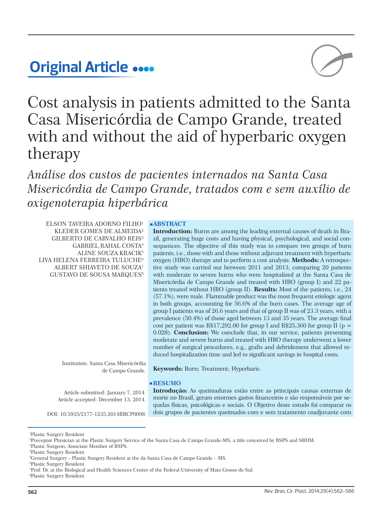# **Original Article**



Cost analysis in patients admitted to the Santa Casa Misericórdia de Campo Grande, treated with and without the aid of hyperbaric oxygen therapy

*Análise dos custos de pacientes internados na Santa Casa Misericórdia de Campo Grande, tratados com e sem auxílio de oxigenoterapia hiperbárica*

ELSON TAVEIRA ADORNO FILHO<sup>1</sup> KLEDER GOMES DE ALMEIDA² GILBERTO DE CARVALHO REIS³ GABRIEL RAHAL COSTA4 ALINE SOUZA KRACIK5 LIVA HELENA FERREIRA TULUCHE<sup>6</sup> ALBERT SHIAVETO DE SOUZA7 GUSTAVO DE SOUSA MARQUES8

> Institution: Santa Casa Misericórdia de Campo Grande.

Article submitted: January 7, 2014. Article accepted: December 13, 2014.

### **ABSTRACT**

**Introduction:** Burns are among the leading external causes of death in Brazil, generating huge costs and having physical, psychological, and social consequences. The objective of this study was to compare two groups of burn patients, i.e., those with and those without adjuvant treatment with hyperbaric oxygen (HBO) therapy and to perform a cost analysis. **Methods:** A retrospective study was carried out between 2011 and 2013, comparing 20 patients with moderate to severe burns who were hospitalized at the Santa Casa de Misericórdia de Campo Grande and treated with HBO (group I) and 22 patients treated without HBO (group II). **Results:** Most of the patients, i.e., 24 (57.1%), were male. Flammable product was the most frequent etiologic agent in both groups, accounting for 56.6% of the burn cases. The average age of group I patients was of 26.6 years and that of group II was of 23.3 years, with a prevalence (50.4%) of those aged between 13 and 35 years. The average final cost per patient was R\$17,292.00 for group I and R\$25,360 for group II ( $p =$ 0.028). **Conclusion:** We conclude that, in our service, patients presenting moderate and severe burns and treated with HBO therapy underwent a lower number of surgical procedures, e.g., grafts and debridement that allowed reduced hospitalization time and led to significant savings in hospital costs.

**Keywords:** Burn; Treatment; Hyperbaric.

# **RESUMO**

**Introdução:** As queimaduras estão entre as principais causas externas de morte no Brasil, geram enormes gastos financeiros e são responsáveis por sequelas físicas, psicológicas e sociais. O Objetivo deste estudo foi comparar os DOI: 10.5935/2177-1235.2014RBCP0098 dois grupos de pacientes queimados com e sem tratamento coadjuvante com

1 Plastic Surgery Resident

8 Plastic Surgery Resident.

<sup>2</sup> Preceptor Physician at the Plastic Surgery Service of the Santa Casa de Campo Grande-MS, a title conceived by BSPS and SBHM.

<sup>3</sup> Plastic Surgeon, Associate Member of BSPS.

<sup>4</sup> Plastic Surgery Resident.

<sup>5</sup> General Surgery – Plastic Surgery Resident at the da Santa Casa de Campo Grande – MS.

<sup>6</sup> Plastic Surgery Resident.

<sup>7</sup> Prof. Dr. at the Biological and Health Sciences Center of the Federal University of Mato Grosso do Sul.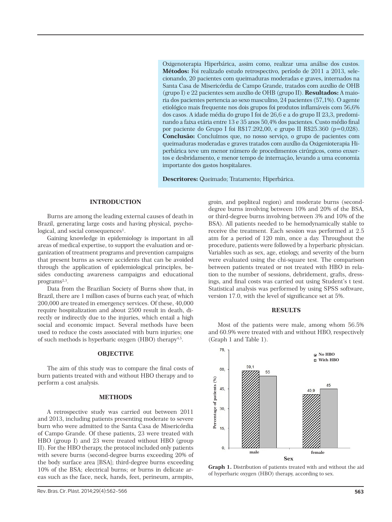Oxigenoterapia Hiperbárica, assim como, realizar uma análise dos custos. **Métodos:** Foi realizado estudo retrospectivo, período de 2011 a 2013, selecionando, 20 pacientes com queimaduras moderadas e graves, internados na Santa Casa de Misericórdia de Campo Grande, tratados com auxílio de OHB (grupo I) e 22 pacientes sem auxílio de OHB (grupo II). **Resultados:** A maioria dos pacientes pertencia ao sexo masculino, 24 pacientes (57,1%). O agente etiológico mais frequente nos dois grupos foi produtos inflamáveis com 56,6% dos casos. A idade média do grupo I foi de 26,6 e a do grupo II 23,3, predominando a faixa etária entre 13 e 35 anos 50,4% dos pacientes. Custo médio final por paciente do Grupo I foi R\$17.292,00, e grupo II R\$25.360 (p=0,028). **Conclusão:** Concluímos que, no nosso serviço, o grupo de pacientes com queimaduras moderadas e graves tratados com auxílio da Oxigenioterapia Hiperbárica teve um menor número de procedimentos cirúrgicos, como enxertos e desbridamento, e menor tempo de internação, levando a uma economia importante dos gastos hospitalares.

**Descritores:** Queimado; Tratamento; Hiperbárica.

#### **INTRODUCTION**

Burns are among the leading external causes of death in Brazil, generating large costs and having physical, psychological, and social consequences<sup>1</sup>.

Gaining knowledge in epidemiology is important in all areas of medical expertise, to support the evaluation and organization of treatment programs and prevention campaigns that present burns as severe accidents that can be avoided through the application of epidemiological principles, besides conducting awareness campaigns and educational programs<sup>2,3</sup>.

Data from the Brazilian Society of Burns show that, in Brazil, there are 1 million cases of burns each year, of which 200,000 are treated in emergency services. Of these, 40,000 require hospitalization and about 2500 result in death, directly or indirectly due to the injuries, which entail a high social and economic impact. Several methods have been used to reduce the costs associated with burn injuries; one of such methods is hyperbaric oxygen (HBO) therapy<sup>4,5</sup>.

## **OBJECTIVE**

The aim of this study was to compare the final costs of burn patients treated with and without HBO therapy and to perform a cost analysis.

## **METHODS**

A retrospective study was carried out between 2011 and 2013, including patients presenting moderate to severe burn who were admitted to the Santa Casa de Misericórdia of Campo Grande. Of these patients, 23 were treated with HBO (group I) and 23 were treated without HBO (group II). For the HBO therapy, the protocol included only patients with severe burns (second-degree burns exceeding 20% of the body surface area [BSA]; third-degree burns exceeding 10% of the BSA; electrical burns; or burns in delicate areas such as the face, neck, hands, feet, perineum, armpits,

groin, and popliteal region) and moderate burns (seconddegree burns involving between 10% and 20% of the BSA, or third-degree burns involving between 3% and 10% of the BSA). All patients needed to be hemodynamically stable to receive the treatment. Each session was performed at 2.5 atm for a period of 120 min, once a day. Throughout the procedure, patients were followed by a hyperbaric physician. Variables such as sex, age, etiology, and severity of the burn were evaluated using the chi-square test. The comparison between patients treated or not treated with HBO in relation to the number of sessions, debridement, grafts, dressings, and final costs was carried out using Student's t test. Statistical analysis was performed by using SPSS software, version 17.0, with the level of significance set at 5%.

## **RESULTS**

Most of the patients were male, among whom 56.5% and 60.9% were treated with and without HBO, respectively (Graph 1 and Table 1).



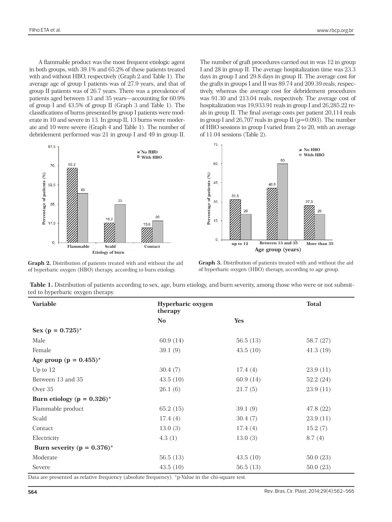A flammable product was the most frequent etiologic agent in both groups, with 39.1% and 65.2% of these patients treated with and without HBO, respectively (Graph 2 and Table 1). The average age of group I patients was of 27.9 years, and that of group II patients was of 26.7 years. There was a prevalence of patients aged between 13 and 35 years—accounting for 60.9% of group I and 43.5% of group II (Graph 3 and Table 1). The classifications of burns presented by group I patients were moderate in 10 and severe in 13. In group II, 13 burns were moderate and 10 were severe (Graph 4 and Table 1). The number of debridement performed was 21 in group I and 49 in group II.



The number of graft procedures carried out in was 12 in group I and 28 in group II. The average hospitalization time was 23.3 days in group I and 29.8 days in group II. The average cost for the grafts in groups I and II was 89.74 and 209.39 reals, respectively, whereas the average cost for debridement procedures was 91.30 and 213.04 reals, respectively. The average cost of hospitalization was 19,933.91 reals in group I and 26,285.22 reals in group II. The final average costs per patient 20,114 reals in group I and  $26,707$  reals in group II ( $p=0.093$ ). The number of HBO sessions in group I varied from 2 to 20, with an average of 11.04 sessions (Table 2).



**Graph 2.** Distribution of patients treated with and without the aid of hyperbaric oxygen (HBO) therapy, according to burn etiology.

**Graph 3.** Distribution of patients treated with and without the aid of hyperbaric oxygen (HBO) therapy, according to age group.

| Table 1. Distribution of patients according to sex, age, burn etiology, and burn severity, among those who were or not submit- |  |
|--------------------------------------------------------------------------------------------------------------------------------|--|
| ted to hyperbaric oxygen therapy.                                                                                              |  |

| Age group (years)<br><b>Etiology of burn</b><br>Graph 3. Distribution of patients treated with and without the aid<br>Graph 2. Distribution of patients treated with and without the aid<br>of hyperbaric oxygen (HBO) therapy, according to age group.<br>of hyperbaric oxygen (HBO) therapy, according to burn etiology.<br>Table 1. Distribution of patients according to sex, age, burn etiology, and burn severity, among those who were or not submit-<br>ted to hyperbaric oxygen therapy.<br><b>Total</b><br><b>Variable</b><br>Hyperbaric oxygen<br>therapy<br>Yes<br>$\mathbf{N}\mathbf{o}$<br>Sex ( $p = 0.725$ )*<br>Male<br>60.9 (14)<br>56.5(13)<br>58.7 (27)<br>Female<br>39.1(9)<br>43.5(10)<br>41.3(19)<br>Age group ( $p = 0.455$ )*<br>Up to 12<br>30.4(7)<br>17.4(4)<br>23.9(11)<br>Between 13 and 35<br>43.5(10)<br>60.9(14)<br>52.2(24)<br>Over 35<br>26.1(6)<br>23.9(11)<br>21.7(5)<br>Burn etiology ( $p = 0.326$ )*<br>Flammable product<br>65.2(15)<br>39.1(9)<br>47.8 (22)<br>Scald<br>17.4(4)<br>30.4(7)<br>23.9(11)<br>Contact<br>13.0(3)<br>17.4(4)<br>15.2(7)<br>Electricity<br>4.3(1)<br>13.0(3)<br>8.7(4)<br>Burn severity ( $p = 0.376$ )*<br>Moderate<br>56.5(13)<br>43.5(10)<br>50.0(23) | Percentage of patients (%)<br>52,5<br>35<br>35,<br>18,2<br>17,5<br>$\mathbf{0}$<br>Flammable<br>Scald | 20<br>13,6<br>Contact | Percentage of patients (%)<br>45,<br>40.9<br>31.8<br>30,<br>15,<br>$\mathbf{0}$<br>Between 13 and 35<br>up to 12 | 27.3<br>More than 35 |
|------------------------------------------------------------------------------------------------------------------------------------------------------------------------------------------------------------------------------------------------------------------------------------------------------------------------------------------------------------------------------------------------------------------------------------------------------------------------------------------------------------------------------------------------------------------------------------------------------------------------------------------------------------------------------------------------------------------------------------------------------------------------------------------------------------------------------------------------------------------------------------------------------------------------------------------------------------------------------------------------------------------------------------------------------------------------------------------------------------------------------------------------------------------------------------------------------------------------------|-------------------------------------------------------------------------------------------------------|-----------------------|------------------------------------------------------------------------------------------------------------------|----------------------|
|                                                                                                                                                                                                                                                                                                                                                                                                                                                                                                                                                                                                                                                                                                                                                                                                                                                                                                                                                                                                                                                                                                                                                                                                                              |                                                                                                       |                       |                                                                                                                  |                      |
|                                                                                                                                                                                                                                                                                                                                                                                                                                                                                                                                                                                                                                                                                                                                                                                                                                                                                                                                                                                                                                                                                                                                                                                                                              |                                                                                                       |                       |                                                                                                                  |                      |
|                                                                                                                                                                                                                                                                                                                                                                                                                                                                                                                                                                                                                                                                                                                                                                                                                                                                                                                                                                                                                                                                                                                                                                                                                              |                                                                                                       |                       |                                                                                                                  |                      |
|                                                                                                                                                                                                                                                                                                                                                                                                                                                                                                                                                                                                                                                                                                                                                                                                                                                                                                                                                                                                                                                                                                                                                                                                                              |                                                                                                       |                       |                                                                                                                  |                      |
|                                                                                                                                                                                                                                                                                                                                                                                                                                                                                                                                                                                                                                                                                                                                                                                                                                                                                                                                                                                                                                                                                                                                                                                                                              |                                                                                                       |                       |                                                                                                                  |                      |
|                                                                                                                                                                                                                                                                                                                                                                                                                                                                                                                                                                                                                                                                                                                                                                                                                                                                                                                                                                                                                                                                                                                                                                                                                              |                                                                                                       |                       |                                                                                                                  |                      |
|                                                                                                                                                                                                                                                                                                                                                                                                                                                                                                                                                                                                                                                                                                                                                                                                                                                                                                                                                                                                                                                                                                                                                                                                                              |                                                                                                       |                       |                                                                                                                  |                      |
|                                                                                                                                                                                                                                                                                                                                                                                                                                                                                                                                                                                                                                                                                                                                                                                                                                                                                                                                                                                                                                                                                                                                                                                                                              |                                                                                                       |                       |                                                                                                                  |                      |
|                                                                                                                                                                                                                                                                                                                                                                                                                                                                                                                                                                                                                                                                                                                                                                                                                                                                                                                                                                                                                                                                                                                                                                                                                              |                                                                                                       |                       |                                                                                                                  |                      |
|                                                                                                                                                                                                                                                                                                                                                                                                                                                                                                                                                                                                                                                                                                                                                                                                                                                                                                                                                                                                                                                                                                                                                                                                                              |                                                                                                       |                       |                                                                                                                  |                      |
|                                                                                                                                                                                                                                                                                                                                                                                                                                                                                                                                                                                                                                                                                                                                                                                                                                                                                                                                                                                                                                                                                                                                                                                                                              |                                                                                                       |                       |                                                                                                                  |                      |
|                                                                                                                                                                                                                                                                                                                                                                                                                                                                                                                                                                                                                                                                                                                                                                                                                                                                                                                                                                                                                                                                                                                                                                                                                              |                                                                                                       |                       |                                                                                                                  |                      |
|                                                                                                                                                                                                                                                                                                                                                                                                                                                                                                                                                                                                                                                                                                                                                                                                                                                                                                                                                                                                                                                                                                                                                                                                                              |                                                                                                       |                       |                                                                                                                  |                      |
|                                                                                                                                                                                                                                                                                                                                                                                                                                                                                                                                                                                                                                                                                                                                                                                                                                                                                                                                                                                                                                                                                                                                                                                                                              |                                                                                                       |                       |                                                                                                                  |                      |
|                                                                                                                                                                                                                                                                                                                                                                                                                                                                                                                                                                                                                                                                                                                                                                                                                                                                                                                                                                                                                                                                                                                                                                                                                              |                                                                                                       |                       |                                                                                                                  |                      |
|                                                                                                                                                                                                                                                                                                                                                                                                                                                                                                                                                                                                                                                                                                                                                                                                                                                                                                                                                                                                                                                                                                                                                                                                                              |                                                                                                       |                       |                                                                                                                  |                      |
|                                                                                                                                                                                                                                                                                                                                                                                                                                                                                                                                                                                                                                                                                                                                                                                                                                                                                                                                                                                                                                                                                                                                                                                                                              |                                                                                                       |                       |                                                                                                                  |                      |
|                                                                                                                                                                                                                                                                                                                                                                                                                                                                                                                                                                                                                                                                                                                                                                                                                                                                                                                                                                                                                                                                                                                                                                                                                              |                                                                                                       |                       |                                                                                                                  |                      |
|                                                                                                                                                                                                                                                                                                                                                                                                                                                                                                                                                                                                                                                                                                                                                                                                                                                                                                                                                                                                                                                                                                                                                                                                                              |                                                                                                       |                       |                                                                                                                  |                      |
| 43.5(10)<br>56.5(13)<br>50.0(23)<br>Severe<br>Data are presented as relative frequency (absolute frequency). *p-Value in the chi-square test.                                                                                                                                                                                                                                                                                                                                                                                                                                                                                                                                                                                                                                                                                                                                                                                                                                                                                                                                                                                                                                                                                |                                                                                                       |                       |                                                                                                                  |                      |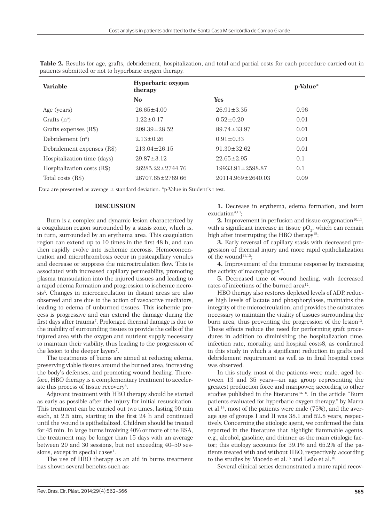| <b>Variable</b>             | Hyperbaric oxygen<br>therapy |                         | p-Value* |
|-----------------------------|------------------------------|-------------------------|----------|
|                             | No.                          | <b>Yes</b>              |          |
| Age (years)                 | $26.65 \pm 4.00$             | $26.91 \pm 3.35$        | 0.96     |
| Grafts $(n^{\circ})$        | $1.22 \pm 0.17$              | $0.52 \pm 0.20$         | 0.01     |
| Grafts expenses (R\$)       | $209.39 \pm 28.52$           | $89.74 \pm 33.97$       | 0.01     |
| Debridement $(no)$          | $2.13 \pm 0.26$              | $0.91 \pm 0.33$         | 0.01     |
| Debridement expenses (R\$)  | $213.04 \pm 26.15$           | $91.30 \pm 32.62$       | 0.01     |
| Hospitalization time (days) | $29.87 \pm 3.12$             | $22.65 \pm 2.95$        | 0.1      |
| Hospitalization costs (R\$) | $26285.22 \pm 2744.76$       | $19933.91 \pm 2598.87$  | 0.1      |
| Total costs (R\$)           | $26707.65 \pm 2789.66$       | $20114.969 \pm 2640.03$ | 0.09     |

**Table 2.** Results for age, grafts, debridement, hospitalization, and total and partial costs for each procedure carried out in patients submitted or not to hyperbaric oxygen therapy.

Data are presented as average  $\pm$  standard deviation. \*p-Value in Student's t test.

# **DISCUSSION**

Burn is a complex and dynamic lesion characterized by a coagulation region surrounded by a stasis zone, which is, in turn, surrounded by an erythema area. This coagulation region can extend up to 10 times in the first 48 h, and can then rapidly evolve into ischemic necrosis. Hemoconcentration and microthrombosis occur in postcapillary venules and decrease or suppress the microcirculation flow. This is associated with increased capillary permeability, promoting plasma transudation into the injured tissues and leading to a rapid edema formation and progression to ischemic necrosis<sup>6</sup>. Changes in microcirculation in distant areas are also observed and are due to the action of vasoactive mediators, leading to edema of unburned tissues. This ischemic process is progressive and can extend the damage during the first days after trauma<sup>7</sup>. Prolonged thermal damage is due to the inability of surrounding tissues to provide the cells of the injured area with the oxygen and nutrient supply necessary to maintain their viability, thus leading to the progression of the lesion to the deeper layers<sup>7</sup>.

The treatments of burns are aimed at reducing edema, preserving viable tissues around the burned area, increasing the body's defenses, and promoting wound healing. Therefore, HBO therapy is a complementary treatment to accelerate this process of tissue recovery<sup>8</sup>.

Adjuvant treatment with HBO therapy should be started as early as possible after the injury for initial resuscitation. This treatment can be carried out two times, lasting 90 min each, at 2.5 atm, starting in the first 24 h and continued until the wound is epithelialized. Children should be treated for 45 min. In large burns involving 40% or more of the BSA, the treatment may be longer than 15 days with an average between 20 and 30 sessions, but not exceeding 40–50 sessions, except in special cases<sup>1</sup>.

The use of HBO therapy as an aid in burns treatment has shown several benefits such as:

**1.** Decrease in erythema, edema formation, and burn  $extulation<sup>9,10</sup>:$ 

**2.** Improvement in perfusion and tissue oxygenation<sup>10,11</sup>, with a significant increase in tissue  $\text{pO}_2$ , which can remain high after interrupting the HBO therapy<sup>12</sup>;

**3.** Early reversal of capillary stasis with decreased progression of thermal injury and more rapid epithelialization of the wound<sup>11,12</sup>:

**4.** Improvement of the immune response by increasing the activity of macrophages $12$ ;

**5.** Decreased time of wound healing, with decreased rates of infections of the burned area<sup>12</sup>.

HBO therapy also restores depleted levels of ADP, reduces high levels of lactate and phosphorylases, maintains the integrity of the microcirculation, and provides the substrates necessary to maintain the vitality of tissues surrounding the burn area, thus preventing the progression of the lesion $13$ . These effects reduce the need for performing graft procedures in addition to diminishing the hospitalization time, infection rate, mortality, and hospital costs8, as confirmed in this study in which a significant reduction in grafts and debridement requirement as well as in final hospital costs was observed.

In this study, most of the patients were male, aged between 13 and 35 years—an age group representing the greatest production force and manpower, according to other studies published in the literature<sup>14-16</sup>. In the article "Burn patients evaluated for hyperbaric oxygen therapy," by Marra et al.14, most of the patients were male (75%), and the average age of groups I and II was 38.1 and 52.8 years, respectively. Concerning the etiologic agent, we confirmed the data reported in the literature that highlight flammable agents, e.g., alcohol, gasoline, and thinner, as the main etiologic factor; this etiology accounts for 39.1% and 65.2% of the patients treated with and without HBO, respectively, according to the studies by Macedo et al.<sup>15</sup> and Leão et al.<sup>16</sup>.

Several clinical series demonstrated a more rapid recov-